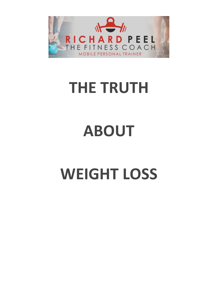

# **THE TRUTH**

# **ABOUT**

# **WEIGHT LOSS**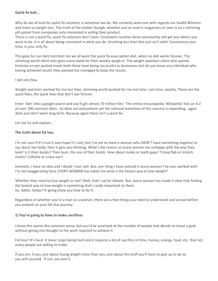# **Quick fix bull...**

Why do we all look for quick fix solutions in whatever we do. We certainly want one with regards our health &fitness and more so weight loss. The truth of the matter though, whether you've read in magazines or seen it on a slimming pill packet from companies only interested in selling their product.

There is not a quick fix, quick fix solutions don't exist. Consistent routines done consistently will get you where you want to be. It is all about being consistent in what you do. Anything less than that just isn't valid. Consistency over time, is your only fix.

This goes for our diet/nutrition too we all want the quick fix easy option diet, when no diet works forever. The slimming world client who goes every week for their weekly weigh in. The weight watchers client who spends fortunes on pre packed meals both these have being successful as businesses but do you know any individual who having achieved results they wanted has managed to keep the results.

# I bet very few.

Weight watchers worked for me last time, slimming world worked for me last time. Last time, exactly. These are the quick fixes, the quick fixes that don't last forever.

Enter 'diet' into a google search and you'll get almost 70 million hits! The online encyclopedia 'Wikipedia' lists an A-Z of over 100 common diets. So diets are everywhere yet the national waistlines of this country is expanding...again diets just don't work long term. Because again there isn't a quick fix.

Let me try and explain...

# **The truth about fat loss.**

I'm not sure if it's true (I sure hope it's not), but I've yet to meet a woman who DIDN'T have something negative to say about her body, then it gets you thinking. What's the reason so many women are unhappy with the way they look? Is it their boobs? Their bum, the size of their hands. How about moles or teeth gaps? Tricep flab or stretch marks? Cellulite or a lazy eye?

Honestly, I have no idea and I doubt I ever will. But, one thing I have noticed is every woman I've ever worked with I'm not exaggerating here; EVERY WOMAN has asked me what is the fastest way to lose weight?.

Whether they need to lose weight or not? Well, that's up for debate. But, every woman has made it clear that finding the fastest way to lose weight is something that's really important to them. So, ladies, today I'm going show you how to do it.

Regardless of whether you're a man or a woman, there are a few things you need to understand and accept before you embark on your fat loss journey:

# **1) You're going to have to make sacrifices**

I know this seems like common sense, but you'd be surprised at the number of people that decide to chase a goal without giving one thought to the work required to achieve it.

Fat loss? It's hard. It never stops being hard and it requires a lot of sacrifice in time, money, energy, food, etc. that not many people are willing to make.

If you are, if you care about losing weight more than you care about the stuff you'll have to give up to do so you *will* succeed. If not, you won't.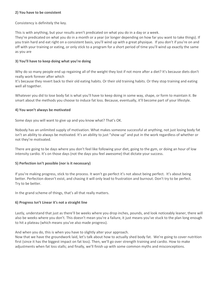# **2) You have to be consistent**

Consistency is definitely the key.

This is with anything, but your results aren't predicated on what you do in a day or a week.

They're predicated on what you do in a month or a year (or longer depending on how far you want to take things). If you train hard and eat right on a consistent basis, you'll wind up with a great physique. If you don't if you're on and off with your training or eating, or only stick to a program for a short period of time you'll wind up exactly the same as you are

# **3) You'll have to keep doing what you're doing**

Why do so many people end up regaining all of the weight they lost if not more after a diet? It's because diets don't really work forever after which

It's because they revert back to their old eating habits. Or their old training habits. Or they stop training and eating well all together.

Whatever you did to lose body fat is what you'll have to keep doing in some way, shape, or form to maintain it. Be smart about the methods you choose to induce fat loss. Because, eventually, it'll become part of your lifestyle.

# **4) You won't always be motivated**

Some days you will want to give up and you know what? That's OK.

Nobody has an unlimited supply of motivation. What makes someone successful at anything, not just losing body fat isn't an ability to always be motivated. It's an ability to just "show up" and put in the work regardless of whether or not they're motivated.

There are going to be days where you don't feel like following your diet, going to the gym, or doing an hour of low intensity cardio. It's on those days (not the days you feel awesome) that dictate your success.

# **5) Perfection isn't possible (nor is it necessary)**

If you're making progress, stick to the process. It won't go perfect it's not about being perfect. It's about being better. Perfection doesn't exist, and chasing it will only lead to frustration and burnout. Don't try to be perfect. Try to be better.

In the grand scheme of things, that's all that really matters.

# **6) Progress Isn't Linear it's not a straight line**

Lastly, understand that just as there'll be weeks where you drop inches, pounds, and look noticeably leaner, there will also be weeks where you don't. This doesn't mean you're a failure, it just means you've stuck to the plan long enough to hit a plateau (which means you've also made progress).

And when you do, this is when you have to slightly alter your approach.

Now that we have the groundwork laid, let's talk about how to actually shed body fat. We're going to cover nutrition first (since it has the biggest impact on fat loss). Then, we'll go over strength training and cardio. How to make adjustments when fat loss stalls; and finally, we'll finish up with some common myths and misconceptions.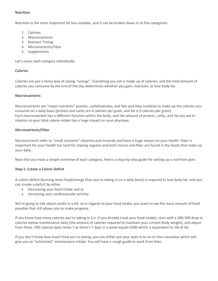### **Nutrition**

Nutrition is the most important fat loss variable, and it can be broken down in to five categories:

- 1. Calories
- 2. Macronutrients
- 3. Nutrient Timing
- 4. Micronutrients/Fiber
- 5. Supplements

Let's cover each category individually:

#### **Calories**

Calories are just a fancy way of saying "energy". Everything you eat is made up of calories, and the total amount of calories you consume by the end of the day determines whether you gain, maintain, or lose body fat.

# **Macronutrients**

Macronutrients are "major nutrients" protein, carbohydrates, and fats and they combine to make up the calories you consume on a daily basis (protein and carbs are 4 calories per gram, and fat is 9 calories per gram). Each macronutrient has a different function within the body, and the amount of protein, carbs, and fat you eat in relation to your total calorie intake has a huge impact on your physique.

# **Micronutrients/Fiber**

Micronutrients refer to "small nutrients" vitamins and minerals and have a huge impact on your health. Fiber is important for your health too (and for staying regular) and both micros and fiber are found in the foods that make up your daily.

Now that you have a simple overview of each category, here's a step-by-step guide for setting up a nutrition plan:

# **Step 1: Create a Caloric Deficit**

A caloric deficit (burning more food/energy than you're taking in on a daily basis) is required to lose body fat, and you can create a deficit by either

- Decreasing your food intake and or
- Increasing your cardiovascular activity.

We're going to talk about cardio in a bit, so in regards to your food intake, you want to eat the most amount of food possible that still allows you to make progress.

If you know how many calories you're taking in (i.e. if you already track your food intake), start with a 300-500 drop in calories below maintenance daily (the amount of calories required to maintain your current body weight), and adjust from there. 500 calories daily times 7 as there's 7 days in a week equals 3500 which is equivalent to 1lb of fat.

If you don't know how much food you're eating, you can either put your stats in to an on line calculator which will give you an "estimated" maintenance intake. You will have a rough guide to work from then.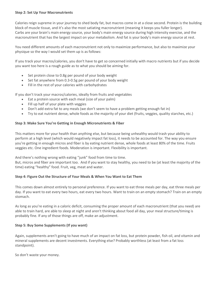#### **Step 2: Set Up Your Macronutrients**

Calories reign supreme in your journey to shed body fat, but macros come in at a close second. Protein is the building block of muscle tissue, and it's also the most satiating macronutrient (meaning it keeps you fuller longer). Carbs are your brain's main energy source, your body's main energy source during high intensity exercise, and the macronutrient that has the largest impact on your metabolism. And fat is your body's main energy source at rest.

You need different amounts of each macronutrient not only to maximize performance, but also to maximize your physique so the way I would set them up is as follows:

If you track your macros/calories, you don't have to get so concerned initially with macro nutrients but if you decide you want too here is a rough guide as to what you should be aiming for.

- Set protein close to 0.8g per pound of your body weight
- Set fat anywhere from 0.3-0.5g per pound of your body weight
- Fill in the rest of your calories with carbohydrates

If you don't track your macros/calories, ideally from fruits and vegetables

- Eat a protein source with each meal (size of your palm)
- Fill up half of your plate with veggies
- Don't add extra fat to any meals (we don't seem to have a problem getting enough fat in)
- Try to eat nutrient dense, whole foods as the majority of your diet (fruits, veggies, quality starches, etc.)

# **Step 3: Make Sure You're Getting in Enough Micronutrients & Fiber**

This matters more for your health than anything else, but because being unhealthy would trash your ability to perform at a high level (which would negatively impact fat loss), it needs to be accounted for. The way you ensure you're getting in enough micros and fiber is by eating nutrient dense, whole foods at least 80% of the time. Fruits veggies etc. One ingredient foods. Moderation is important. Flexibility is important.

And there's nothing wrong with eating "junk" food from time to time.

But, micros and fiber are important too. And if you want to stay healthy, you need to be (at least the majority of the time) eating "healthy" food. Fruit, veg, meat and water.

# **Step 4: Figure Out the Structure of Your Meals & When You Want to Eat Them**

This comes down almost entirely to personal preference. If you want to eat three meals per day, eat three meals per day. If you want to eat every two hours, eat every two hours. Want to train on an empty stomach? Train on an empty stomach.

As long as you're eating in a caloric deficit, consuming the proper amount of each macronutrient (that you need) are able to train hard, are able to sleep at night and aren't thinking about food all day, your meal structure/timing is probably fine. If any of those things are off, make an adjustment.

# **Step 5: Buy Some Supplements (If you want)**

Again, supplements aren't going to have much of an impact on fat loss, but protein powder, fish oil, and vitamin and mineral supplements are decent investments. Everything else? Probably worthless (at least from a fat loss standpoint).

So don't waste your money.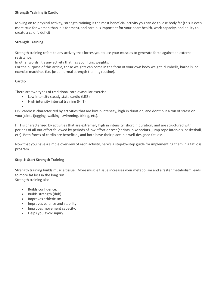# **Strength Training & Cardio**

Moving on to physical activity, strength training is the most beneficial activity you can do to lose body fat (this is even more true for women than it is for men), and cardio is important for your heart health, work capacity, and ability to create a caloric deficit

# **Strength Training**

Strength training refers to any activity that forces you to use your muscles to generate force against an external resistance.

In other words, it's any activity that has you lifting weights.

For the purpose of this article, those weights can come in the form of your own body weight, dumbells, barbells, or exercise machines (i.e. just a normal strength training routine).

# **Cardio**

•

There are two types of traditional cardiovascular exercise:

- Low intensity steady state cardio (LISS)
- High intensity interval training (HIIT)

LISS cardio is characterized by activities that are low in intensity, high in duration, and don't put a ton of stress on your joints (jogging, walking, swimming, biking, etc).

HIIT is characterized by activities that are extremely high in intensity, short in duration, and are structured with periods of all-out effort followed by periods of low effort or rest (sprints, bike sprints, jump rope intervals, basketball, etc). Both forms of cardio are beneficial, and both have their place in a well-designed fat loss

Now that you have a simple overview of each activity, here's a step-by-step guide for implementing them in a fat loss program.

#### **Step 1: Start Strength Training**

Strength training builds muscle tissue. More muscle tissue increases your metabolism and a faster metabolism leads to more fat loss in the long run. Strength training also:

- Builds confidence.
- Builds strength (duh).
- Improves athleticism.
- Improves balance and stability.
- Improves movement capacity.
- Helps you avoid injury.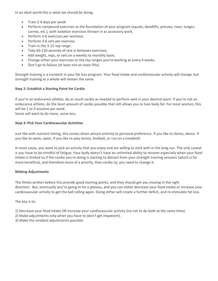In an ideal world this is what we should be doing:

- Train 2-4 days per week
- Perform compound exercises as the foundation of your program (squats, deadlifts, presses, rows, lunges, carries, etc.), with isolation exercises thrown in as accessory work.
- Perform 3-6 exercises per workout.
- Perform 3-6 sets per exercise.
- Train in the 3-12 rep range.
- Take 60-120 seconds of rest in between exercises.
- Add weight, reps, or sets on a weekly to monthly basis.
- Change either your exercises or the rep ranges you're working at every 4 weeks.
- Don't go to failure (at least not on main lifts).

Strength training is a constant in your fat loss program. Your food intake and cardiovascular activity will change, but strength training as a whole will remain the same.

# **Step 2: Establish a Starting Point for Cardio**

If you're an endurance athlete, do as much cardio as needed to perform well in your desired sport. If you're not an endurance athlete, do the least amount of cardio possible that still allows you to lose body fat. For most women, this will be *1 to 3 sessions per week.*

Some will want to do more, some less.

# **Step 3: Pick Your Cardiovascular Activities**

Just like with nutrient timing, this comes down almost entirely to personal preference. If you like to dance, dance. If you like to swim, swim. If you like to play tennis, football, or run on a treadmill.

In most cases, you want to pick an activity that you enjoy and are willing to stick with in the long-run. The only caveat is you have to be mindful of fatigue. Your body doesn't have an unlimited ability to recover especially when your food intake is limited so if the cardio you're doing is starting to detract from your strength training sessions (which is far more beneficial, and therefore more of a priority, than cardio is), you need to change it.

# **Making Adjustments**

The thinks written before this provide good starting points, and they should get you moving in the right direction. But, eventually you're going to hit a plateau, and you can either decrease your food intake or increase your cardiovascular activity to get the ball rolling again. Doing either will create a further deficit, and re-stimulate fat loss.

The key is to:

- 1) Decrease your food intake OR increase your cardiovascular activity (try not to do both at the same time).
- 2) Make adjustments only when you have to (don't get impatient).
- 3) Make the smallest adjustments possible.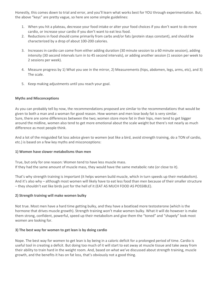Honestly, this comes down to trial and error, and you'll learn what works best for YOU through experimentation. But, the above "keys" are pretty vague, so here are some simple guidelines:

- 1. When you hit a plateau, decrease your food intake or alter your food choices if you don't want to do more cardio, or increase your cardio if you don't want to eat less food.
- 2. Reductions in food should come primarily from carbs and/or fats (protein stays constant), and should be characterized by a drop of about 100-200 calories.
- 3. Increases in cardio can come from either adding duration (30 minute session to a 60 minute session), adding intensity (30 second intervals turn in to 45 second intervals), or adding another session (1 session per week to 2 sessions per week).
- 4. Measure progress by 1) What you see in the mirror, 2) Measurements (hips, abdomen, legs, arms, etc), and 3) The scale.
- 5. Keep making adjustments until you reach your goal.

#### **Myths and Misconceptions**

As you can probably tell by now, the recommendations proposed are similar to the recommendations that would be given to both a man and a woman for good reason. How women and men lose body fat is very similar. Sure, there are some differences between the two; women store more fat in their hips, men tend to get bigger around the midline, women also tend to get more emotional about the scale weight but there's not nearly as much difference as most people think.

And a lot of the misguided fat loss advice given to women (eat like a bird, avoid strength training, do a TON of cardio, etc.) is based on a few key myths and misconceptions:

#### **1) Women have slower metabolisms than men**

True, but only for one reason: Women tend to have less muscle mass. If they had the same amount of muscle mass, they would have the same metabolic rate (or close to it).

That's why strength training is important (it helps women build muscle, which in turn speeds up their metabolism). And it's also why – although most women will likely have to eat less food than men because of their smaller structure – they shouldn't eat like birds just for the hell of it (EAT AS MUCH FOOD AS POSSIBLE).

#### **2) Strength training will make women bulky**

Not true. Most men have a hard time getting bulky, and they have a boatload more testosterone (which is the hormone that drives muscle growth). Strength training won't make women bulky. What it will do however is make them strong, confident, powerful, speed up their metabolism and give them the "toned" and "shapely" look most women are looking for.

#### **3) The best way for women to get lean is by doing cardio**

Nope. The best way for women to get lean is by being in a caloric deficit for a prolonged period of time. Cardio is useful tool in creating a deficit. But doing too much of it will start to eat away at muscle tissue and take away from their ability to train hard in the weight room. And, based on what we've discussed about strength training, muscle growth, and the benefits it has on fat loss, that's obviously not a good thing.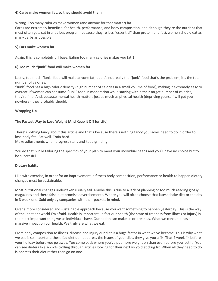# **4) Carbs make women fat, so they should avoid them**

Wrong. Too many calories make women (and anyone for that matter) fat.

Carbs are extremely beneficial for health, performance, and body composition, and although they're the nutrient that most often gets cut in a fat loss program (because they're less "essential" than protein and fat), women should eat as many carbs as possible.

# **5) Fats make women fat**

Again, this is completely off base. Eating too many calories makes you fat!!

# **6) Too much "junk" food will make women fat**

Lastly, too much "junk" food will make anyone fat, but it's not really the "junk" food that's the problem; it's the total number of calories.

"Junk" food has a high caloric density (high number of calories in a small volume of food), making it extremely easy to overeat. If women can consume "junk" food in moderation while staying within their target number of calories, they're fine. And, because mental health matters just as much as physical health (depriving yourself will get you nowhere), they probably should.

# **Wrapping Up**

# **The Fastest Way to Lose Weight (And Keep it Off for Life)**

There's nothing fancy about this article and that's because there's nothing fancy you ladies need to do in order to lose body fat. Eat well. Train hard.

Make adjustments when progress stalls and keep grinding.

You do that, while tailoring the specifics of your plan to meet your individual needs and you'll have no choice but to be successful.

#### **Dietary habits**

Like with exercise, in order for an improvement in fitness body composition, performance or health to happen dietary changes must be sustainable.

Most nutritional changes undertaken usually fail. Maybe this is due to a lack of planning or too much reading glossy magazines and there false diet promise advertisements. Where you will often choose that latest shake diet or the abs in 3 week one. Sold only by companies with their pockets in mind.

Over a more considered and sustainable approach because you want something to happen yesterday. This is the way of the inpatient world I'm afraid. Health is important, in fact our health (the state of freeness from illness or injury) is the most important thing we as individuals have. Our health can make us or break us. What we consume has a massive impact on our health. We truly are what we eat.

From body composition to illness, disease and injury our diet is a huge factor in what we've become. This is why what we eat is so important, these fad diet don't address the issues of your diet, they give you a fix. That 4 week fix before your holiday before you go away. You come back where you've put more weight on than even before you lost it. You can see dieters like addicts trolling through articles looking for their next yo yo diet drug fix. When all they need to do is address their diet rather than go on one.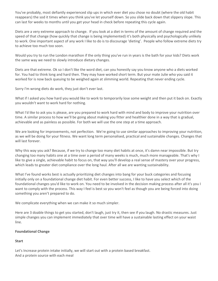You've probably, most defiantly experienced slip ups in which ever diet you chose no doubt (where the old habit reappears) the sod it times when you think you've let yourself down. So you slide back down that slippery slope. This can last for weeks to months until you get your head in check before repeating this cycle again.

Diets are a very extreme approach to change. If you look at a diet in terms of the amount of change required and the speed of that change (how quickly that change is being implemented) it's both physically and psychologically unlikely to work. One important aspect of any work I like to do is to discourage 'dieting'. People who follow extreme diets try to achieve too much too soon.

Would you try to run the London marathon if the only thing you've run in years is the bath for your kids? Diets work the same way we need to slowly introduce dietary changes.

Diets are that extreme. Ok so I don't like the word diet, can you honestly say you know anyone who a diets worked for. You had to think long and hard then. They may have worked short term. But your mate Julie who you said it worked for is now back queuing to be weighed again at slimming world. Repeating that never ending cycle.

Sorry I'm wrong diets do work, they just don't ever last.

What if I asked you how hard you would like to work to temporarily lose some weight and then put it back on. Exactly you wouldn't want to work hard for nothing.

What I'd like to ask you is please, are you prepared to work hard with mind and body to improve your nutrition over time. A similar process to how we'll be going about making you fitter and healthier done in a way that is gradual, achievable and as painless as possible. For both we will use the one step at a time approach.

We are looking for improvements, not perfection. We're going to use similar approaches to improving your nutrition, as we will be doing for your fitness. We want long term personalised, practical and sustainable changes. Changes that will last forever.

Why this way you ask? Because, if we try to change too many diet habits at once, it's damn near impossible. But try changing too many habits one at a time over a period of many weeks is much, much more manageable. That's why I like to give a single, achievable habit to focus on, that way you'll develop a real sense of mastery over your progress, which leads to greater diet compliance over the long haul. After all we are wanting sustainability.

What I've found works best is actually prioritizing diet changes into bang for your buck categories and focusing initially only on a foundational change diet habit. For even better success, I like to have you select which of the foundational changes you'd like to work on. You need to be involved in the decision making process after all it's you I want to comply with the process. This way I feel is best so you won't feel as though you are being forced into doing something you aren't prepared to do.

We complicate everything when we can make it so much simpler.

Here are 3 doable things to get you started, don't laugh, just try it, then see if you laugh. No drastic measures. Just simple changes you can implement immediately that over time will have a sustainable lasting effect on your waist line.

#### **Foundational Change**

# **Start**

Let's Increase protein intake initially, we will start out with a protein based breakfast. And a protein source with each meal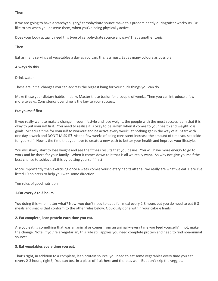#### **Then**

If we are going to have a starchy/ sugary/ carbohydrate source make this predominantly during/after workouts. Or I like to say when you deserve them, when you've being physically active.

Does your body actually need this type of carbohydrate source anyway? That's another topic.

#### **Then**

Eat as many servings of vegetables a day as you can, this is a must. Eat as many colours as possible.

#### **Always do this**

Drink water

These are initial changes you can address the biggest bang for your buck things you can do.

Make these your dietary habits initially. Master these basics for a couple of weeks. Then you can introduce a few more tweaks. Consistency over time is the key to your success.

# **Put yourself first**

If you really want to make a change in your lifestyle and lose weight, the people with the most success learn that it is okay to put yourself first. You need to realise it is okay to be selfish when it comes to your health and weight loss goals. Schedule time for yourself to workout and be active every week; let nothing get in the way of it. Start with one day a week and DON'T MISS IT! After a few weeks of being consistent increase the amount of time you set aside for yourself. Now is the time that you have to create a new path to better your health and improve your lifestyle.

You will slowly start to lose weight and see the fitness results that you desire. You will have more energy to go to work and be there for your family. When it comes down to it that is all we really want. So why not give yourself the best chance to achieve all this by putting yourself first?

More importantly than exercising once a week comes your dietary habits after all we really are what we eat. Here I've listed 10 pointers to help you with some direction.

Ten rules of good nutrition

#### **1.Eat every 2 to 3 hours**

You doing this – no matter what? Now, you don't need to eat a full meal every 2-3 hours but you do need to eat 6-8 meals and snacks that conform to the other rules below. Obviously done within your calorie limits.

#### **2. Eat complete, lean protein each time you eat.**

Are you eating something that was an animal or comes from an animal – every time you feed yourself? If not, make the change. Note: If you're a vegetarian, this rule still applies you need complete protein and need to find non-animal sources.

#### **3. Eat vegetables every time you eat.**

That's right, in addition to a complete, lean protein source, you need to eat some vegetables every time you eat (every 2-3 hours, right?). You can toss in a piece of fruit here and there as well. But don't skip the veggies.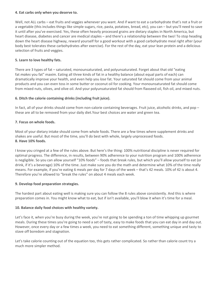# **4. Eat carbs only when you deserve to.**

Well, not ALL carbs – eat fruits and veggies whenever you want. And if want to eat a carbohydrate that's not a fruit or a vegetable (this includes things like simple sugars, rice, pasta, potatoes, bread, etc), you can – but you'll need to save it until after you've exercised. Yes, these often heavily processed grains are dietary staples in North America, but heart disease, diabetes and cancer are medical staples – and there's a relationship between the two! To stop heading down the heart disease highway, reward yourself for a good workout with a good carbohydrate meal right after (your body best tolerates these carbohydrates after exercise). For the rest of the day, eat your lean protein and a delicious selection of fruits and veggies.

# **5. Learn to love healthy fats.**

There are 3 types of fat – saturated, monounsaturated, and polyunsaturated. Forget about that old "eating fat *makes* you fat" maxim. Eating all three kinds of fat in a healthy balance (about equal parts of each) can dramatically improve your health, and even help you *lose* fat. Your saturated fat should come from your animal products and you can even toss in some butter or coconut oil for cooking. Your monounsaturated fat should come from mixed nuts, olives, and olive oil. And your polyunsaturated fat should from flaxseed oil, fish oil, and mixed nuts.

# **6. Ditch the calorie containing drinks (including fruit juice).**

In fact, all of your drinks should come from non-calorie containing beverages. Fruit juice, alcoholic drinks, and pop – these are all to be removed from your daily diet.Your best choices are water and green tea.

# **7. Focus on whole foods.**

Most of your dietary intake should come from whole foods. There are a few times where supplement drinks and shakes are useful. But most of the time, you'll do best with whole, largely unprocessed foods. **8. Have 10% foods.**

I know you cringed at a few of the rules above. But here's the thing: 100% nutritional discipline is never required for optimal progress. The difference, in results, between 90% adherence to your nutrition program and 100% adherence is negligible. So you can allow yourself "10% foods" – foods that break rules, but which you'll allow yourself to eat (or drink, if it's a beverage) 10% of the time. Just make sure you do the math and determine what 10% of the time really means. For example, if you're eating 6 meals per day for 7 days of the week – that's 42 meals. 10% of 42 is about 4. Therefore you're allowed to "break the rules" on about 4 meals each week.

# **9. Develop food preparation strategies.**

The hardest part about eating well is making sure you can follow the 8 rules above consistently. And this is where preparation comes in. You might know what to eat, but if isn't available, you'll blow it when it's time for a meal.

# **10. Balance daily food choices with healthy variety.**

Let's face it, when you're busy during the week, you're not going to be spending a ton of time whipping up gourmet meals. During these times you're going to need a set of tasty, easy to make foods that you can eat day in and day out. However, once every day or a few times a week, you need to eat something different, something unique and tasty to stave off boredom and stagnation.

Let's take calorie counting out of the equation too, this gets rather complicated. So rather than calorie count try a much more simpler method.